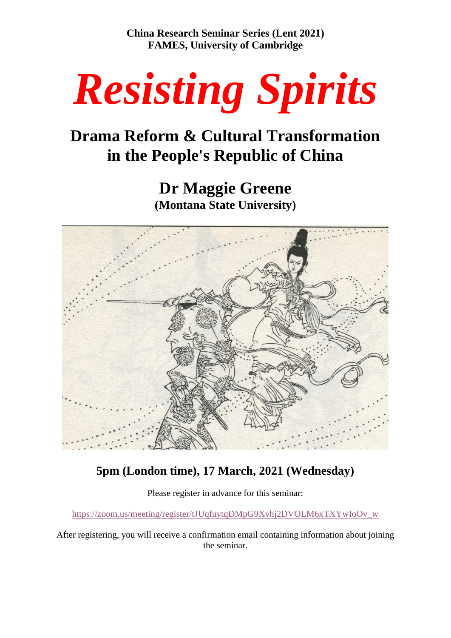**China Research Seminar Series (Lent 2021) FAMES, University of Cambridge**



# **Drama Reform & Cultural Transformation in the People's Republic of China**

**Dr Maggie Greene (Montana State University)**



# **5pm (London time), 17 March, 2021 (Wednesday)**

Please register in advance for this seminar:

[https://zoom.us/meeting/register/tJUqfuytqDMpG9Xyhj2DVOLM6xTXYwIoOv\\_w](https://zoom.us/meeting/register/tJUqfuytqDMpG9Xyhj2DVOLM6xTXYwIoOv_w)

After registering, you will receive a confirmation email containing information about joining the seminar.